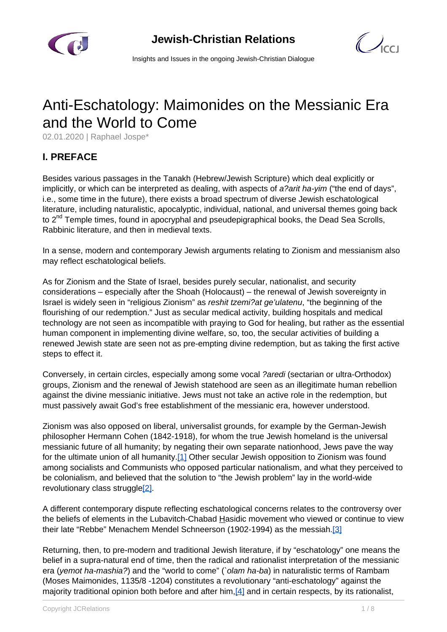

 $\bigcirc$ 

Insights and Issues in the ongoing Jewish-Christian Dialogue

# Anti-Eschatology: Maimonides on the Messianic Era and the World to Come

02.01.2020 | Raphael Jospe\*

# **I. PREFACE**

Besides various passages in the Tanakh (Hebrew/Jewish Scripture) which deal explicitly or implicitly, or which can be interpreted as dealing, with aspects of a?arit ha-yim ("the end of days", i.e., some time in the future), there exists a broad spectrum of diverse Jewish eschatological literature, including naturalistic, apocalyptic, individual, national, and universal themes going back to 2<sup>nd</sup> Temple times, found in apocryphal and pseudepigraphical books, the Dead Sea Scrolls, Rabbinic literature, and then in medieval texts.

In a sense, modern and contemporary Jewish arguments relating to Zionism and messianism also may reflect eschatological beliefs.

As for Zionism and the State of Israel, besides purely secular, nationalist, and security considerations – especially after the Shoah (Holocaust) – the renewal of Jewish sovereignty in Israel is widely seen in "religious Zionism" as reshit tzemi?at ge'ulatenu, "the beginning of the flourishing of our redemption." Just as secular medical activity, building hospitals and medical technology are not seen as incompatible with praying to God for healing, but rather as the essential human component in implementing divine welfare, so, too, the secular activities of building a renewed Jewish state are seen not as pre-empting divine redemption, but as taking the first active steps to effect it.

Conversely, in certain circles, especially among some vocal ?aredi (sectarian or ultra-Orthodox) groups, Zionism and the renewal of Jewish statehood are seen as an illegitimate human rebellion against the divine messianic initiative. Jews must not take an active role in the redemption, but must passively await God's free establishment of the messianic era, however understood.

Zionism was also opposed on liberal, universalist grounds, for example by the German-Jewish philosopher Hermann Cohen (1842-1918), for whom the true Jewish homeland is the universal messianic future of all humanity; by negating their own separate nationhood, Jews pave the way for the ultimate union of all humanity[.\[1\]](https://dev.iccj.org/#fn_1) Other secular Jewish opposition to Zionism was found among socialists and Communists who opposed particular nationalism, and what they perceived to be colonialism, and believed that the solution to "the Jewish problem" lay in the world-wide revolutionary class struggle<sup>[\[2\]](https://dev.iccj.org/#fn_2)</sup>.

A different contemporary dispute reflecting eschatological concerns relates to the controversy over the beliefs of elements in the Lubavitch-Chabad Hasidic movement who viewed or continue to view their late "Rebbe" Menachem Mendel Schneerson (1902-1994) as the messiah[.\[3\]](https://dev.iccj.org/#fn_3)

Returning, then, to pre-modern and traditional Jewish literature, if by "eschatology" one means the belief in a supra-natural end of time, then the radical and rationalist interpretation of the messianic era (*yemot ha-mashia?*) and the "world to come" (`olam ha-ba) in naturalistic terms of Rambam (Moses Maimonides, 1135/8 -1204) constitutes a revolutionary "anti-eschatology" against the majority traditional opinion both before and after him[,\[4\]](https://dev.iccj.org/#fn_4) and in certain respects, by its rationalist,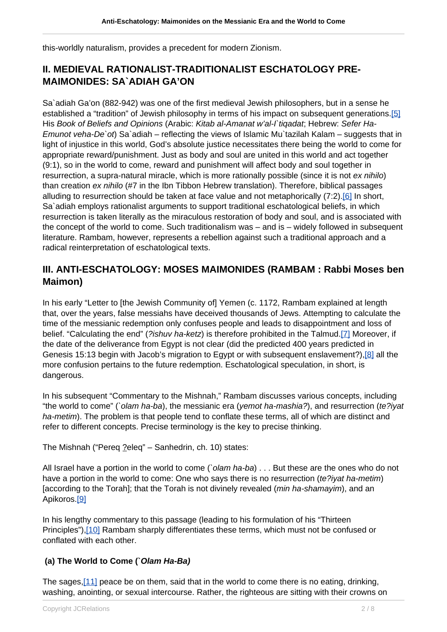this-worldly naturalism, provides a precedent for modern Zionism.

### **II. MEDIEVAL RATIONALIST-TRADITIONALIST ESCHATOLOGY PRE-MAIMONIDES: SA`ADIAH GA'ON**

Sa`adiah Ga'on (882-942) was one of the first medieval Jewish philosophers, but in a sense he established a "tradition" of Jewish philosophy in terms of his impact on subsequent generations[.\[5\]](https://dev.iccj.org/#fn_5) His Book of Beliefs and Opinions (Arabic: Kitab al-Amanat w'al-I`tiqadat; Hebrew: Sefer Ha-Emunot veha-De`ot) Sa`adiah – reflecting the views of Islamic Mu`tazilah Kalam – suggests that in light of injustice in this world, God's absolute justice necessitates there being the world to come for appropriate reward/punishment. Just as body and soul are united in this world and act together (9:1), so in the world to come, reward and punishment will affect body and soul together in resurrection, a supra-natural miracle, which is more rationally possible (since it is not ex nihilo) than creation ex nihilo (#7 in the Ibn Tibbon Hebrew translation). Therefore, biblical passages alluding to resurrection should be taken at face value and not metaphorically (7:2).[\[6\]](https://dev.iccj.org/#fn_6) In short, Sa`adiah employs rationalist arguments to support traditional eschatological beliefs, in which resurrection is taken literally as the miraculous restoration of body and soul, and is associated with the concept of the world to come. Such traditionalism was – and is – widely followed in subsequent literature. Rambam, however, represents a rebellion against such a traditional approach and a radical reinterpretation of eschatological texts.

### **III. ANTI-ESCHATOLOGY: MOSES MAIMONIDES (RAMBAM : Rabbi Moses ben Maimon)**

In his early "Letter to [the Jewish Community of] Yemen (c. 1172, Rambam explained at length that, over the years, false messiahs have deceived thousands of Jews. Attempting to calculate the time of the messianic redemption only confuses people and leads to disappointment and loss of belief. "Calculating the end" (?ishuv ha-ketz) is therefore prohibited in the Talmud[.\[7\]](https://dev.iccj.org/#fn_7) Moreover, if the date of the deliverance from Egypt is not clear (did the predicted 400 years predicted in Genesis 15:13 begin with Jacob's migration to Egypt or with subsequent enslavement?),[\[8\]](https://dev.iccj.org/#fn_8) all the more confusion pertains to the future redemption. Eschatological speculation, in short, is dangerous.

In his subsequent "Commentary to the Mishnah," Rambam discusses various concepts, including "the world to come" (`olam ha-ba), the messianic era (yemot ha-mashia?), and resurrection (te?iyat ha-metim). The problem is that people tend to conflate these terms, all of which are distinct and refer to different concepts. Precise terminology is the key to precise thinking.

The Mishnah ("Pereq ?eleq" – Sanhedrin, ch. 10) states:

All Israel have a portion in the world to come ('olam ha-ba) . . . But these are the ones who do not have a portion in the world to come: One who says there is no resurrection (te?iyat ha-metim) [according to the Torah]; that the Torah is not divinely revealed (*min ha-shamayim*), and an Apikoros.[\[9\]](https://dev.iccj.org/#fn_9)

In his lengthy commentary to this passage (leading to his formulation of his "Thirteen Principles"),[\[10\]](https://dev.iccj.org/#fn_10) Rambam sharply differentiates these terms, which must not be confused or conflated with each other.

#### **(a) The World to Come (`Olam Ha-Ba)**

The sages, [11] peace be on them, said that in the world to come there is no eating, drinking, washing, anointing, or sexual intercourse. Rather, the righteous are sitting with their crowns on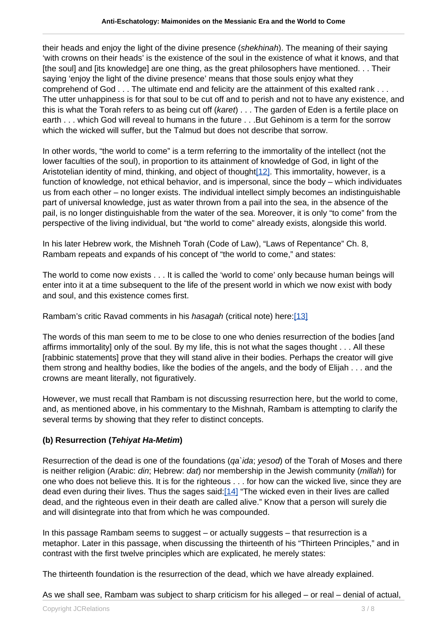their heads and enjoy the light of the divine presence (shekhinah). The meaning of their saying 'with crowns on their heads' is the existence of the soul in the existence of what it knows, and that [the soul] and [its knowledge] are one thing, as the great philosophers have mentioned. . . Their saying 'enjoy the light of the divine presence' means that those souls enjoy what they comprehend of God . . . The ultimate end and felicity are the attainment of this exalted rank . . . The utter unhappiness is for that soul to be cut off and to perish and not to have any existence, and this is what the Torah refers to as being cut off (karet) ... The garden of Eden is a fertile place on earth . . . which God will reveal to humans in the future . . . But Gehinom is a term for the sorrow which the wicked will suffer, but the Talmud but does not describe that sorrow.

In other words, "the world to come" is a term referring to the immortality of the intellect (not the lower faculties of the soul), in proportion to its attainment of knowledge of God, in light of the Aristotelian identity of mind, thinking, and object of thought<sup>[12]</sup>. This immortality, however, is a function of knowledge, not ethical behavior, and is impersonal, since the body – which individuates us from each other – no longer exists. The individual intellect simply becomes an indistinguishable part of universal knowledge, just as water thrown from a pail into the sea, in the absence of the pail, is no longer distinguishable from the water of the sea. Moreover, it is only "to come" from the perspective of the living individual, but "the world to come" already exists, alongside this world.

In his later Hebrew work, the Mishneh Torah (Code of Law), "Laws of Repentance" Ch. 8, Rambam repeats and expands of his concept of "the world to come," and states:

The world to come now exists . . . It is called the 'world to come' only because human beings will enter into it at a time subsequent to the life of the present world in which we now exist with body and soul, and this existence comes first.

Rambam's critic Ravad comments in his hasagah (critical note) here:[\[13\]](https://dev.iccj.org/#fn_13)

The words of this man seem to me to be close to one who denies resurrection of the bodies [and affirms immortality] only of the soul. By my life, this is not what the sages thought . . . All these [rabbinic statements] prove that they will stand alive in their bodies. Perhaps the creator will give them strong and healthy bodies, like the bodies of the angels, and the body of Elijah . . . and the crowns are meant literally, not figuratively.

However, we must recall that Rambam is not discussing resurrection here, but the world to come, and, as mentioned above, in his commentary to the Mishnah, Rambam is attempting to clarify the several terms by showing that they refer to distinct concepts.

#### **(b) Resurrection (Tehiyat Ha-Metim)**

Resurrection of the dead is one of the foundations (*qa`ida*; *yesod*) of the Torah of Moses and there is neither religion (Arabic: din; Hebrew: dat) nor membership in the Jewish community (millah) for one who does not believe this. It is for the righteous . . . for how can the wicked live, since they are dead even during their lives. Thus the sages said:[\[14\]](https://dev.iccj.org/#fn_14) "The wicked even in their lives are called dead, and the righteous even in their death are called alive." Know that a person will surely die and will disintegrate into that from which he was compounded.

In this passage Rambam seems to suggest – or actually suggests – that resurrection is a metaphor. Later in this passage, when discussing the thirteenth of his "Thirteen Principles," and in contrast with the first twelve principles which are explicated, he merely states:

The thirteenth foundation is the resurrection of the dead, which we have already explained.

As we shall see, Rambam was subject to sharp criticism for his alleged – or real – denial of actual,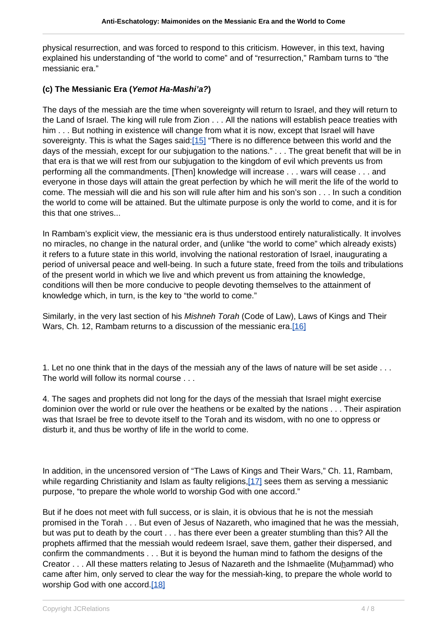physical resurrection, and was forced to respond to this criticism. However, in this text, having explained his understanding of "the world to come" and of "resurrection," Rambam turns to "the messianic era."

#### **(c) The Messianic Era (Yemot Ha-Mashi'a?)**

The days of the messiah are the time when sovereignty will return to Israel, and they will return to the Land of Israel. The king will rule from Zion . . . All the nations will establish peace treaties with him . . . But nothing in existence will change from what it is now, except that Israel will have sovereignty. This is what the Sages said[:\[15\]](https://dev.iccj.org/#fn_15) "There is no difference between this world and the days of the messiah, except for our subjugation to the nations." . . . The great benefit that will be in that era is that we will rest from our subjugation to the kingdom of evil which prevents us from performing all the commandments. [Then] knowledge will increase . . . wars will cease . . . and everyone in those days will attain the great perfection by which he will merit the life of the world to come. The messiah will die and his son will rule after him and his son's son . . . In such a condition the world to come will be attained. But the ultimate purpose is only the world to come, and it is for this that one strives...

In Rambam's explicit view, the messianic era is thus understood entirely naturalistically. It involves no miracles, no change in the natural order, and (unlike "the world to come" which already exists) it refers to a future state in this world, involving the national restoration of Israel, inaugurating a period of universal peace and well-being. In such a future state, freed from the toils and tribulations of the present world in which we live and which prevent us from attaining the knowledge, conditions will then be more conducive to people devoting themselves to the attainment of knowledge which, in turn, is the key to "the world to come."

Similarly, in the very last section of his Mishneh Torah (Code of Law), Laws of Kings and Their Wars, Ch. 12, Rambam returns to a discussion of the messianic era[.\[16\]](https://dev.iccj.org/#fn_16)

1. Let no one think that in the days of the messiah any of the laws of nature will be set aside . . . The world will follow its normal course . . .

4. The sages and prophets did not long for the days of the messiah that Israel might exercise dominion over the world or rule over the heathens or be exalted by the nations . . . Their aspiration was that Israel be free to devote itself to the Torah and its wisdom, with no one to oppress or disturb it, and thus be worthy of life in the world to come.

In addition, in the uncensored version of "The Laws of Kings and Their Wars," Ch. 11, Rambam, while regarding Christianity and Islam as faulty religions.<sup>[17]</sup> sees them as serving a messianic purpose, "to prepare the whole world to worship God with one accord."

But if he does not meet with full success, or is slain, it is obvious that he is not the messiah promised in the Torah . . . But even of Jesus of Nazareth, who imagined that he was the messiah, but was put to death by the court . . . has there ever been a greater stumbling than this? All the prophets affirmed that the messiah would redeem Israel, save them, gather their dispersed, and confirm the commandments . . . But it is beyond the human mind to fathom the designs of the Creator . . . All these matters relating to Jesus of Nazareth and the Ishmaelite (Muhammad) who came after him, only served to clear the way for the messiah-king, to prepare the whole world to worship God with one accord.[\[18\]](https://dev.iccj.org/#fn_18)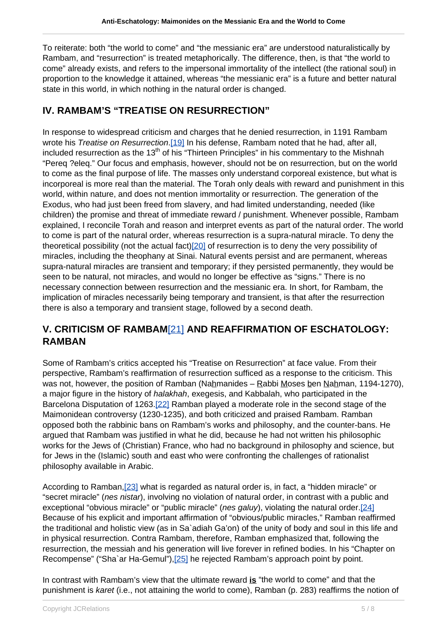To reiterate: both "the world to come" and "the messianic era" are understood naturalistically by Rambam, and "resurrection" is treated metaphorically. The difference, then, is that "the world to come" already exists, and refers to the impersonal immortality of the intellect (the rational soul) in proportion to the knowledge it attained, whereas "the messianic era" is a future and better natural state in this world, in which nothing in the natural order is changed.

### **IV. RAMBAM'S "TREATISE ON RESURRECTION"**

In response to widespread criticism and charges that he denied resurrection, in 1191 Rambam wrote his Treatise on Resurrection[.\[19\]](https://dev.iccj.org/#fn_19) In his defense, Rambam noted that he had, after all, included resurrection as the  $13<sup>th</sup>$  of his "Thirteen Principles" in his commentary to the Mishnah "Pereq ?eleq." Our focus and emphasis, however, should not be on resurrection, but on the world to come as the final purpose of life. The masses only understand corporeal existence, but what is incorporeal is more real than the material. The Torah only deals with reward and punishment in this world, within nature, and does not mention immortality or resurrection. The generation of the Exodus, who had just been freed from slavery, and had limited understanding, needed (like children) the promise and threat of immediate reward / punishment. Whenever possible, Rambam explained, I reconcile Torah and reason and interpret events as part of the natural order. The world to come is part of the natural order, whereas resurrection is a supra-natural miracle. To deny the theoretical possibility (not the actual fact[\)\[20\]](https://dev.iccj.org/#fn_20) of resurrection is to deny the very possibility of miracles, including the theophany at Sinai. Natural events persist and are permanent, whereas supra-natural miracles are transient and temporary; if they persisted permanently, they would be seen to be natural, not miracles, and would no longer be effective as "signs." There is no necessary connection between resurrection and the messianic era. In short, for Rambam, the implication of miracles necessarily being temporary and transient, is that after the resurrection there is also a temporary and transient stage, followed by a second death.

# **V. CRITICISM OF RAMBAM**[\[21\]](https://dev.iccj.org/#fn_21) **AND REAFFIRMATION OF ESCHATOLOGY: RAMBAN**

Some of Rambam's critics accepted his "Treatise on Resurrection" at face value. From their perspective, Rambam's reaffirmation of resurrection sufficed as a response to the criticism. This was not, however, the position of Ramban (Nahmanides – Rabbi Moses ben Nahman, 1194-1270), a major figure in the history of halakhah, exegesis, and Kabbalah, who participated in the Barcelona Disputation of 1263[.\[22\]](https://dev.iccj.org/#fn_22) Ramban played a moderate role in the second stage of the Maimonidean controversy (1230-1235), and both criticized and praised Rambam. Ramban opposed both the rabbinic bans on Rambam's works and philosophy, and the counter-bans. He argued that Rambam was justified in what he did, because he had not written his philosophic works for the Jews of (Christian) France, who had no background in philosophy and science, but for Jews in the (Islamic) south and east who were confronting the challenges of rationalist philosophy available in Arabic.

According to Ramban, [\[23\]](https://dev.iccj.org/#fn_23) what is regarded as natural order is, in fact, a "hidden miracle" or "secret miracle" (nes nistar), involving no violation of natural order, in contrast with a public and exceptional "obvious miracle" or "public miracle" (nes galuy), violating the natural order.  $[24]$ Because of his explicit and important affirmation of "obvious/public miracles," Ramban reaffirmed the traditional and holistic view (as in Sa`adiah Ga'on) of the unity of body and soul in this life and in physical resurrection. Contra Rambam, therefore, Ramban emphasized that, following the resurrection, the messiah and his generation will live forever in refined bodies. In his "Chapter on Recompense" ("Sha`ar Ha-Gemul"), [25] he rejected Rambam's approach point by point.

In contrast with Rambam's view that the ultimate reward **is** "the world to come" and that the punishment is karet (i.e., not attaining the world to come), Ramban (p. 283) reaffirms the notion of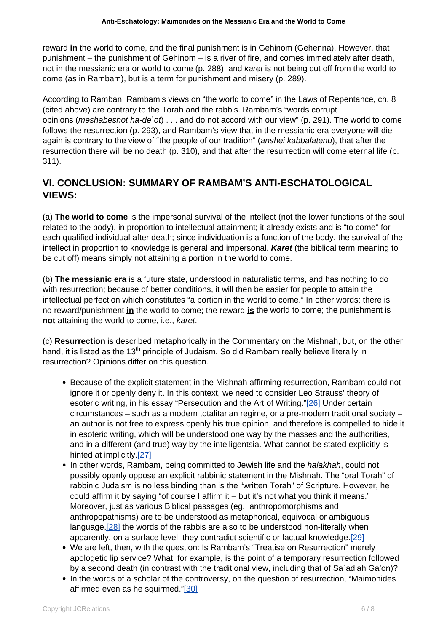reward **in** the world to come, and the final punishment is in Gehinom (Gehenna). However, that punishment – the punishment of Gehinom – is a river of fire, and comes immediately after death, not in the messianic era or world to come (p. 288), and karet is not being cut off from the world to come (as in Rambam), but is a term for punishment and misery (p. 289).

According to Ramban, Rambam's views on "the world to come" in the Laws of Repentance, ch. 8 (cited above) are contrary to the Torah and the rabbis. Rambam's "words corrupt opinions (*meshabeshot ha-de* `ot $) \ldots$  and do not accord with our view" (p. 291). The world to come follows the resurrection (p. 293), and Rambam's view that in the messianic era everyone will die again is contrary to the view of "the people of our tradition" (anshei kabbalatenu), that after the resurrection there will be no death (p. 310), and that after the resurrection will come eternal life (p. 311).

# **VI. CONCLUSION: SUMMARY OF RAMBAM'S ANTI-ESCHATOLOGICAL VIEWS:**

(a) **The world to come** is the impersonal survival of the intellect (not the lower functions of the soul related to the body), in proportion to intellectual attainment; it already exists and is "to come" for each qualified individual after death; since individuation is a function of the body, the survival of the intellect in proportion to knowledge is general and impersonal. **Karet** (the biblical term meaning to be cut off) means simply not attaining a portion in the world to come.

(b) **The messianic era** is a future state, understood in naturalistic terms, and has nothing to do with resurrection; because of better conditions, it will then be easier for people to attain the intellectual perfection which constitutes "a portion in the world to come." In other words: there is no reward/punishment **in** the world to come; the reward **is** the world to come; the punishment is **not** attaining the world to come, i.e., karet.

(c) **Resurrection** is described metaphorically in the Commentary on the Mishnah, but, on the other hand, it is listed as the 13<sup>th</sup> principle of Judaism. So did Rambam really believe literally in resurrection? Opinions differ on this question.

- Because of the explicit statement in the Mishnah affirming resurrection, Rambam could not ignore it or openly deny it. In this context, we need to consider Leo Strauss' theory of esoteric writing, in his essay "Persecution and the Art of Writing.["\[26\]](https://dev.iccj.org/#fn_26) Under certain circumstances – such as a modern totalitarian regime, or a pre-modern traditional society – an author is not free to express openly his true opinion, and therefore is compelled to hide it in esoteric writing, which will be understood one way by the masses and the authorities, and in a different (and true) way by the intelligentsia. What cannot be stated explicitly is hinted at implicitly[.\[27\]](https://dev.iccj.org/#fn_27)
- In other words, Rambam, being committed to Jewish life and the *halakhah*, could not possibly openly oppose an explicit rabbinic statement in the Mishnah. The "oral Torah" of rabbinic Judaism is no less binding than is the "written Torah" of Scripture. However, he could affirm it by saying "of course I affirm it – but it's not what you think it means." Moreover, just as various Biblical passages (eg., anthropomorphisms and anthropopathisms) are to be understood as metaphorical, equivocal or ambiguous language,[\[28\]](https://dev.iccj.org/#fn_28) the words of the rabbis are also to be understood non-literally when apparently, on a surface level, they contradict scientific or factual knowledge.[\[29\]](https://dev.iccj.org/#fn_29)
- We are left, then, with the question: Is Rambam's "Treatise on Resurrection" merely apologetic lip service? What, for example, is the point of a temporary resurrection followed by a second death (in contrast with the traditional view, including that of Sa`adiah Ga'on)?
- In the words of a scholar of the controversy, on the question of resurrection, "Maimonides affirmed even as he squirmed.["\[30\]](https://dev.iccj.org/#fn_30)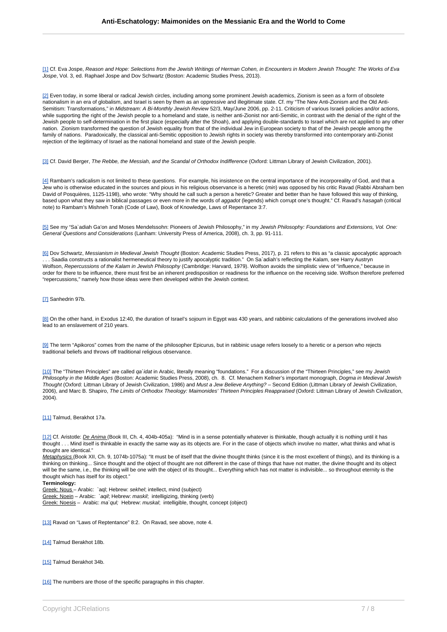[1] Cf. Eva Jospe, Reason and Hope: Selections from the Jewish Writings of Herman Cohen, in Encounters in Modern Jewish Thought: The Works of Eva Jospe, Vol. 3, ed. Raphael Jospe and Dov Schwartz (Boston: Academic Studies Press, 2013).

[2] Even today, in some liberal or radical Jewish circles, including among some prominent Jewish academics, Zionism is seen as a form of obsolete nationalism in an era of globalism, and Israel is seen by them as an oppressive and illegitimate state. Cf. my "The New Anti-Zionism and the Old Anti-Semitism: Transformations," in Midstream: A Bi-Monthly Jewish Review 52/3, May/June 2006, pp. 2-11. Criticism of various Israeli policies and/or actions, while supporting the right of the Jewish people to a homeland and state, is neither anti-Zionist nor anti-Semitic, in contrast with the denial of the right of the Jewish people to self-determination in the first place (especially after the Shoah), and applying double-standards to Israel which are not applied to any other nation. Zionism transformed the question of Jewish equality from that of the individual Jew in European society to that of the Jewish people among the family of nations. Paradoxically, the classical anti-Semitic opposition to Jewish rights in society was thereby transformed into contemporary anti-Zionist rejection of the legitimacy of Israel as the national homeland and state of the Jewish people.

[3] Cf. David Berger, The Rebbe, the Messiah, and the Scandal of Orthodox Indifference (Oxford: Littman Library of Jewish Civilization, 2001).

[4] Rambam's radicalism is not limited to these questions. For example, his insistence on the central importance of the incorporeality of God, and that a Jew who is otherwise educated in the sources and pious in his religious observance is a heretic (min) was opposed by his critic Ravad (Rabbi Abraham ben David of Posquières, 1125-1198), who wrote: "Why should he call such a person a heretic? Greater and better than he have followed this way of thinking, based upon what they saw in biblical passages or even more in the words of aggadot (legends) which corrupt one's thought." Cf. Ravad's hasagah (critical note) to Rambam's Mishneh Torah (Code of Law), Book of Knowledge, Laws of Repentance 3:7.

[5] See my "Sa`adiah Ga'on and Moses Mendelssohn: Pioneers of Jewish Philosophy," in my Jewish Philosophy: Foundations and Extensions, Vol. One: General Questions and Considerations (Lanham: University Press of America, 2008), ch. 3, pp. 91-111.

[6] Dov Schwartz, Messianism in Medieval Jewish Thought (Boston: Academic Studies Press, 2017), p. 21 refers to this as "a classic apocalyptic approach . . . Saadia constructs a rationalist hermeneutical theory to justify apocalyptic tradition." On Sa`adiah's reflecting the Kalam, see Harry Austryn Wolfson, Repercussions of the Kalam in Jewish Philosophy (Cambridge: Harvard, 1979). Wolfson avoids the simplistic view of "influence," because in order for there to be influence, there must first be an inherent predisposition or readiness for the influence on the receiving side. Wolfson therefore preferred "repercussions," namely how those ideas were then developed within the Jewish context.

#### [7] Sanhedrin 97b.

[8] On the other hand, in Exodus 12:40, the duration of Israel's sojourn in Egypt was 430 years, and rabbinic calculations of the generations involved also lead to an enslavement of 210 years.

[9] The term "Apikoros" comes from the name of the philosopher Epicurus, but in rabbinic usage refers loosely to a heretic or a person who rejects traditional beliefs and throws off traditional religious observance.

[10] The "Thirteen Principles" are called qa`idat in Arabic, literally meaning "foundations." For a discussion of the "Thirteen Principles," see my Jewish Philosophy in the Middle Ages (Boston: Academic Studies Press, 2008), ch. 8. Cf. Menachem Kellner's important monograph, Dogma in Medieval Jewish Thought (Oxford: Littman Library of Jewish Civilization, 1986) and Must a Jew Believe Anything? - Second Edition (Littman Library of Jewish Civilization, 2006), and Marc B. Shapiro, The Limits of Orthodox Theology: Maimonides' Thirteen Principles Reappraised (Oxford: Littman Library of Jewish Civilization, 2004).

#### [11] Talmud, Berakhot 17a.

[12] Cf. Aristotle: De Anima (Book III, Ch. 4, 404b-405a): "Mind is in a sense potentially whatever is thinkable, though actually it is nothing until it has thought . . . Mind itself is thinkable in exactly the same way as its objects are. For in the case of objects which involve no matter, what thinks and what is thought are identical."

Metaphysics (Book XII, Ch. 9, 1074b-1075a): "It must be of itself that the divine thought thinks (since it is the most excellent of things), and its thinking is a thinking on thinking... Since thought and the object of thought are not different in the case of things that have not matter, the divine thought and its object will be the same, i.e., the thinking will be one with the object of its thought... Everything which has not matter is indivisible... so throughout eternity is the thought which has itself for its object."

#### **Terminology:**

Greek: Nous - Arabic: `aql; Hebrew: sekhel; intellect, mind (subject)

Greek: Noein – Arabic: `aqil; Hebrew: maskil; intelligizing, thinking (verb)

Greek: Noesis - Arabic: ma`qul; Hebrew: muskal; intelligible, thought, concept (object)

[13] Ravad on "Laws of Reptentance" 8:2. On Ravad, see above, note 4.

[14] Talmud Berakhot 18b.

[15] Talmud Berakhot 34b.

[16] The numbers are those of the specific paragraphs in this chapter.